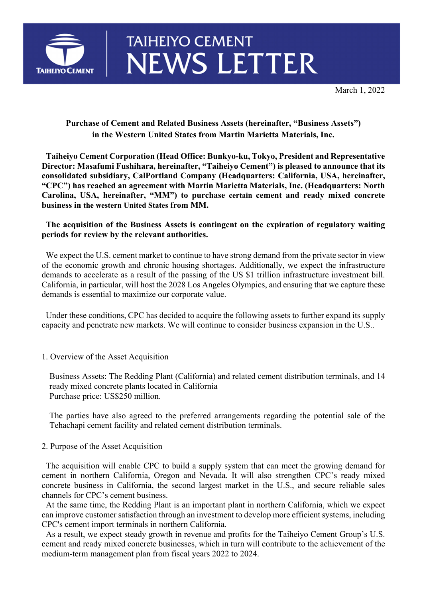

# **TAIHEIYO CEMENT NEWS LETTER**

March 1, 2022

## **Purchase of Cement and Related Business Assets (hereinafter, "Business Assets") in the Western United States from Martin Marietta Materials, Inc.**

 **Taiheiyo Cement Corporation (Head Office: Bunkyo-ku, Tokyo, President and Representative Director: Masafumi Fushihara, hereinafter, "Taiheiyo Cement") is pleased to announce that its consolidated subsidiary, CalPortland Company (Headquarters: California, USA, hereinafter, "CPC") has reached an agreement with Martin Marietta Materials, Inc. (Headquarters: North Carolina, USA, hereinafter, "MM") to purchase certain cement and ready mixed concrete business in the western United States from MM.** 

### **The acquisition of the Business Assets is contingent on the expiration of regulatory waiting periods for review by the relevant authorities.**

We expect the U.S. cement market to continue to have strong demand from the private sector in view of the economic growth and chronic housing shortages. Additionally, we expect the infrastructure demands to accelerate as a result of the passing of the US \$1 trillion infrastructure investment bill. California, in particular, will host the 2028 Los Angeles Olympics, and ensuring that we capture these demands is essential to maximize our corporate value.

 Under these conditions, CPC has decided to acquire the following assets to further expand its supply capacity and penetrate new markets. We will continue to consider business expansion in the U.S..

1. Overview of the Asset Acquisition

Business Assets: The Redding Plant (California) and related cement distribution terminals, and 14 ready mixed concrete plants located in California Purchase price: US\$250 million.

The parties have also agreed to the preferred arrangements regarding the potential sale of the Tehachapi cement facility and related cement distribution terminals.

#### 2. Purpose of the Asset Acquisition

 The acquisition will enable CPC to build a supply system that can meet the growing demand for cement in northern California, Oregon and Nevada. It will also strengthen CPC's ready mixed concrete business in California, the second largest market in the U.S., and secure reliable sales channels for CPC's cement business.

 At the same time, the Redding Plant is an important plant in northern California, which we expect can improve customer satisfaction through an investment to develop more efficient systems, including CPC's cement import terminals in northern California.

 As a result, we expect steady growth in revenue and profits for the Taiheiyo Cement Group's U.S. cement and ready mixed concrete businesses, which in turn will contribute to the achievement of the medium-term management plan from fiscal years 2022 to 2024.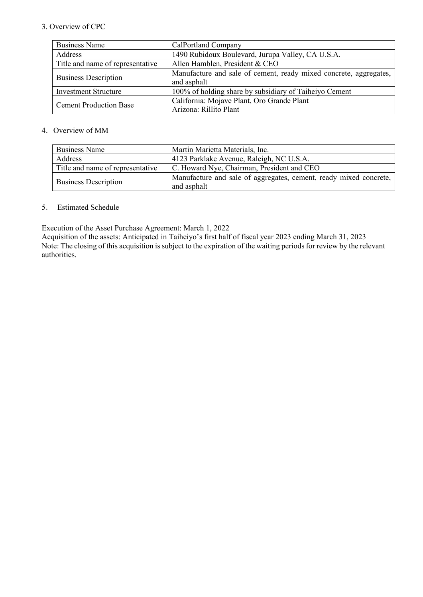#### 3. Overview of CPC

| <b>Business Name</b>             | CalPortland Company                                                              |
|----------------------------------|----------------------------------------------------------------------------------|
| <b>Address</b>                   | 1490 Rubidoux Boulevard, Jurupa Valley, CA U.S.A.                                |
| Title and name of representative | Allen Hamblen, President & CEO                                                   |
| <b>Business Description</b>      | Manufacture and sale of cement, ready mixed concrete, aggregates,<br>and asphalt |
| <b>Investment Structure</b>      | 100% of holding share by subsidiary of Taiheiyo Cement                           |
| <b>Cement Production Base</b>    | California: Mojave Plant, Oro Grande Plant<br>Arizona: Rillito Plant             |

#### 4. Overview of MM

| <b>Business Name</b>             | Martin Marietta Materials, Inc.                                                  |
|----------------------------------|----------------------------------------------------------------------------------|
| Address                          | 4123 Parklake Avenue, Raleigh, NC U.S.A.                                         |
| Title and name of representative | C. Howard Nye, Chairman, President and CEO                                       |
| <b>Business Description</b>      | Manufacture and sale of aggregates, cement, ready mixed concrete,<br>and asphalt |

#### 5. Estimated Schedule

Execution of the Asset Purchase Agreement: March 1, 2022

Acquisition of the assets: Anticipated in Taiheiyo's first half of fiscal year 2023 ending March 31, 2023 Note: The closing of this acquisition is subject to the expiration of the waiting periods for review by the relevant authorities.